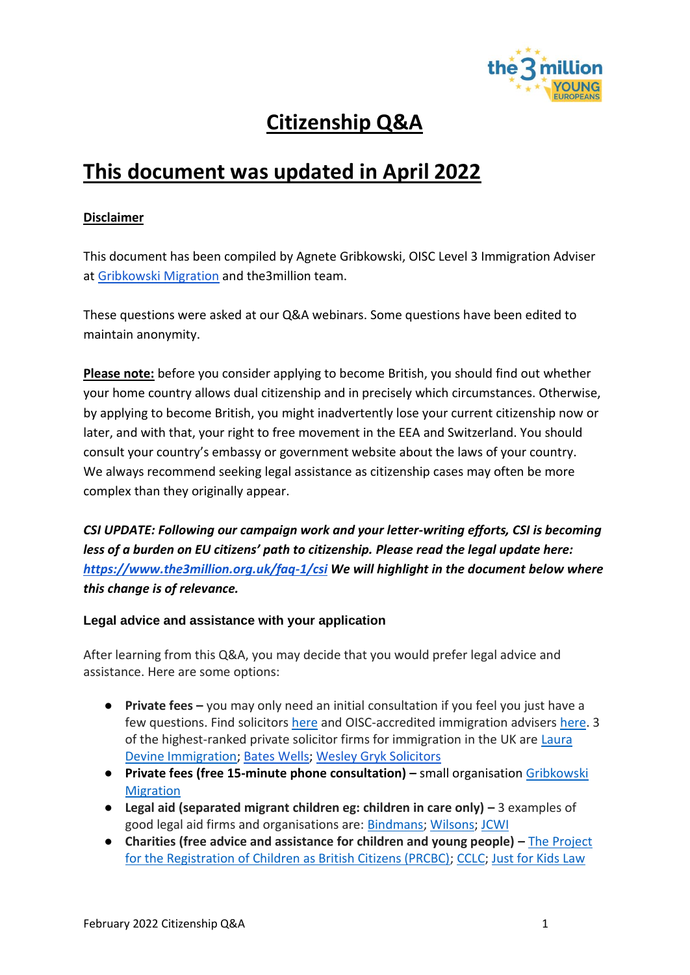

## **Citizenship Q&A**

## **This document was updated in April 2022**

#### **Disclaimer**

This document has been compiled by Agnete Gribkowski, OISC Level 3 Immigration Adviser at [Gribkowski Migration](https://www.gribkowskimigration.co.uk/) and the3million team.

These questions were asked at our Q&A webinars. Some questions have been edited to maintain anonymity.

**Please note:** before you consider applying to become British, you should find out whether your home country allows dual citizenship and in precisely which circumstances. Otherwise, by applying to become British, you might inadvertently lose your current citizenship now or later, and with that, your right to free movement in the EEA and Switzerland. You should consult your country's embassy or government website about the laws of your country. We always recommend seeking legal assistance as citizenship cases may often be more complex than they originally appear.

*CSI UPDATE: Following our campaign work and your letter-writing efforts, CSI is becoming less of a burden on EU citizens' path to citizenship. Please read the legal update here: <https://www.the3million.org.uk/faq-1/csi> We will highlight in the document below where this change is of relevance.*

#### **Legal advice and assistance with your application**

After learning from this Q&A, you may decide that you would prefer legal advice and assistance. Here are some options:

- **Private fees –** you may only need an initial consultation if you feel you just have a few questions. Find solicitors [here](https://solicitors.lawsociety.org.uk/) and OISC-accredited immigration advisers [here.](https://home.oisc.gov.uk/adviser_finder/finder.aspx) 3 of the highest-ranked private solicitor firms for immigration in the UK are Laura [Devine Immigration;](https://www.lauradevine.com/london-office/) [Bates Wells;](https://bateswells.co.uk/services/immigration/) [Wesley Gryk Solicitors](https://www.gryklaw.com/)
- **•** Private fees (free 15-minute phone consultation) small organisation Gribkowski [Migration](https://www.gribkowskimigration.co.uk/)
- **Legal aid (separated migrant children eg: children in care only) –** 3 examples of good legal aid firms and organisations are: [Bindmans;](https://www.bindmans.com/what-we-do/nationality) [Wilsons;](https://www.wilsonllp.co.uk/immigration-law/) [JCWI](https://www.jcwi.org.uk/pages/category/legal-advice)
- **Charities (free advice and assistance for children and young people) –** [The Project](https://prcbc.org/)  for [the Registration of Children as British Citizens \(PRCBC\);](https://prcbc.org/) [CCLC;](https://www.childrenslegalcentre.com/get-legal-advice/immigration-asylum-nationality/) [Just for Kids Law](https://justforkidslaw.org/what-we-do)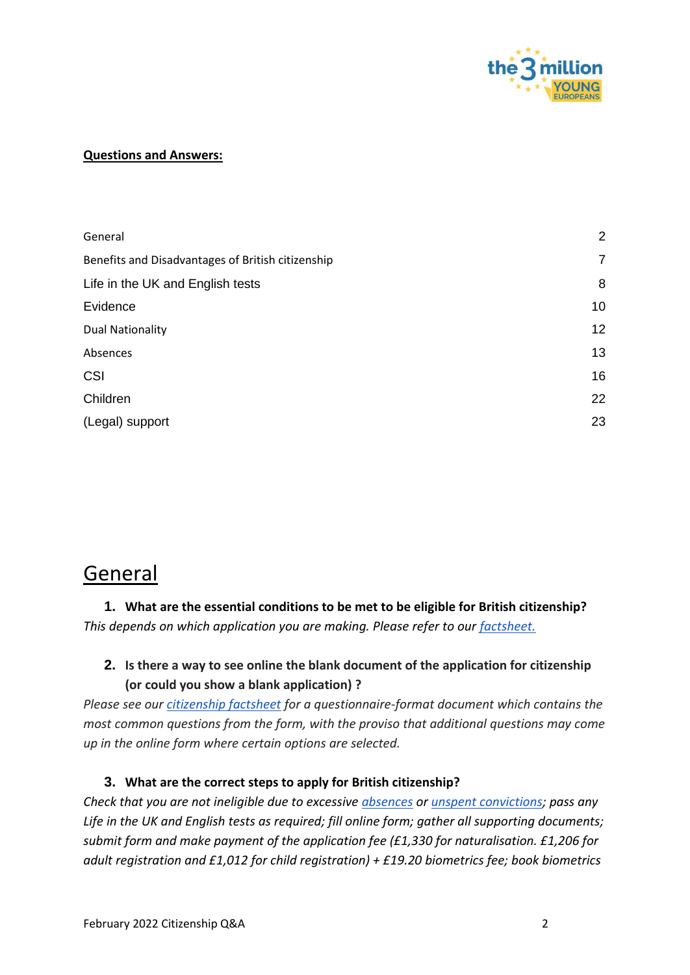

#### **Questions and Answers:**

| General                                           | $\overline{2}$ |
|---------------------------------------------------|----------------|
| Benefits and Disadvantages of British citizenship | $\overline{7}$ |
| Life in the UK and English tests                  | 8              |
| Evidence                                          | 10             |
| <b>Dual Nationality</b>                           | 12             |
| Absences                                          | 13             |
| <b>CSI</b>                                        | 16             |
| Children                                          | 22             |
| (Legal) support                                   | 23             |

## <span id="page-1-0"></span>General

## **1. What are the essential conditions to be met to be eligible for British citizenship?**  *This depends on which application you are making. Please refer to our [factsheet.](http://t3m.org.uk/t3m_YE_KeyCitizenshipFacts)*

## **2. Is there a way to see online the blank document of the application for citizenship (or could you show a blank application) ?**

*Please see our [citizenship factsheet](http://t3m.org.uk/t3m_YE_KeyCitizenshipFacts) for a questionnaire-format document which contains the most common questions from the form, with the proviso that additional questions may come up in the online form where certain options are selected.* 

#### **3. What are the correct steps to apply for British citizenship?**

*Check that you are not ineligible due to excessive [absences](https://www.gov.uk/government/publications/naturalisation-as-a-british-citizen-by-discretion-nationality-policy-guidance) or [unspent convictions;](https://assets.publishing.service.gov.uk/government/uploads/system/uploads/attachment_data/file/923656/good-character-guidance-v2.0-gov-uk.pdf) pass any Life in the UK and English tests as required; fill online form; gather all supporting documents; submit form and make payment of the application fee (£1,330 for naturalisation. £1,206 for adult registration and £1,012 for child registration) + £19.20 biometrics fee; book biometrics*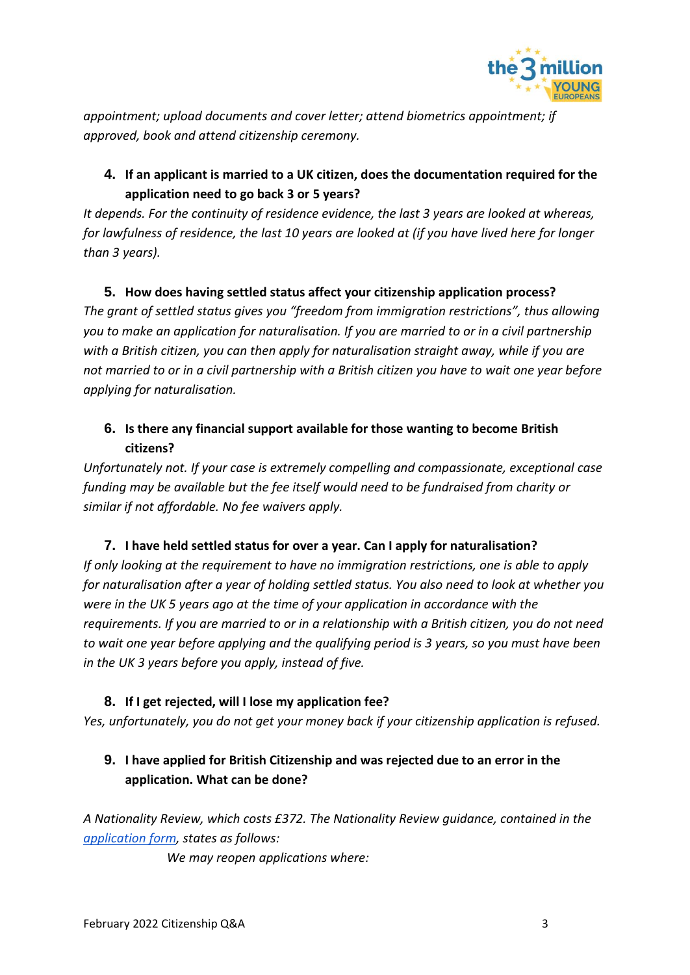

*appointment; upload documents and cover letter; attend biometrics appointment; if approved, book and attend citizenship ceremony.*

**4. If an applicant is married to a UK citizen, does the documentation required for the application need to go back 3 or 5 years?** 

*It depends. For the continuity of residence evidence, the last 3 years are looked at whereas, for lawfulness of residence, the last 10 years are looked at (if you have lived here for longer than 3 years).*

### **5. How does having settled status affect your citizenship application process?**

*The grant of settled status gives you "freedom from immigration restrictions", thus allowing you to make an application for naturalisation. If you are married to or in a civil partnership with a British citizen, you can then apply for naturalisation straight away, while if you are not married to or in a civil partnership with a British citizen you have to wait one year before applying for naturalisation.*

## **6. Is there any financial support available for those wanting to become British citizens?**

*Unfortunately not. If your case is extremely compelling and compassionate, exceptional case funding may be available but the fee itself would need to be fundraised from charity or similar if not affordable. No fee waivers apply.* 

### **7. I have held settled status for over a year. Can I apply for naturalisation?**

*If only looking at the requirement to have no immigration restrictions, one is able to apply for naturalisation after a year of holding settled status. You also need to look at whether you were in the UK 5 years ago at the time of your application in accordance with the requirements. If you are married to or in a relationship with a British citizen, you do not need to wait one year before applying and the qualifying period is 3 years, so you must have been in the UK 3 years before you apply, instead of five.*

### **8. If I get rejected, will I lose my application fee?**

*Yes, unfortunately, you do not get your money back if your citizenship application is refused.*

## **9. I have applied for British Citizenship and was rejected due to an error in the application. What can be done?**

*A Nationality Review, which costs £372. The Nationality Review guidance, contained in the [application form,](https://www.gov.uk/government/publications/application-for-review-when-british-citizenship-is-refused-form-nr) states as follows:*

*We may reopen applications where:*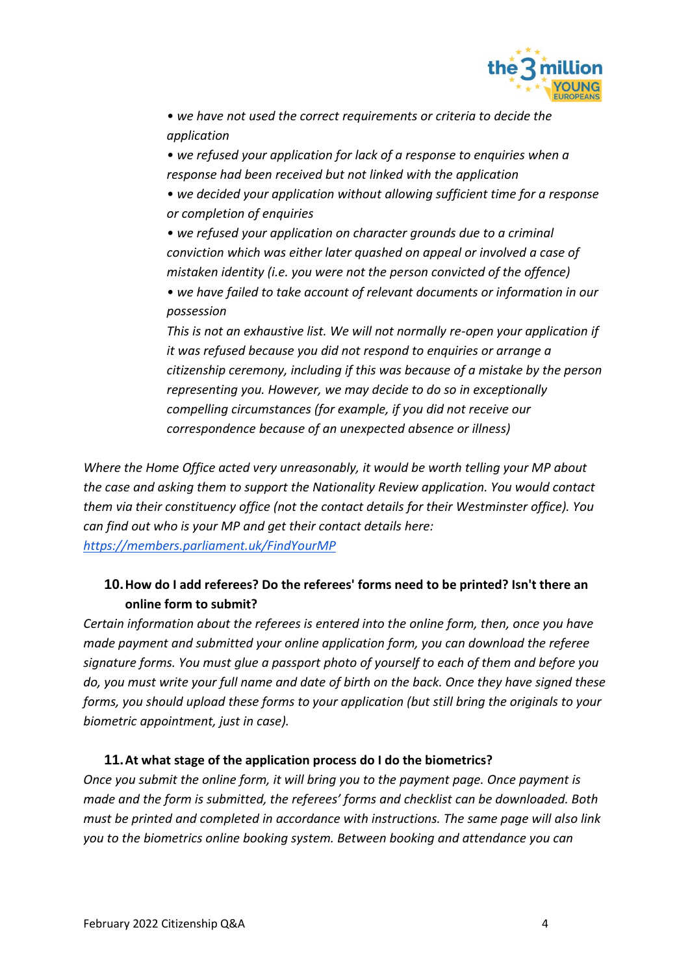

*• we have not used the correct requirements or criteria to decide the application* 

*• we refused your application for lack of a response to enquiries when a response had been received but not linked with the application* 

*• we decided your application without allowing sufficient time for a response or completion of enquiries* 

*• we refused your application on character grounds due to a criminal conviction which was either later quashed on appeal or involved a case of mistaken identity (i.e. you were not the person convicted of the offence)* 

*• we have failed to take account of relevant documents or information in our possession* 

*This is not an exhaustive list. We will not normally re-open your application if it was refused because you did not respond to enquiries or arrange a citizenship ceremony, including if this was because of a mistake by the person representing you. However, we may decide to do so in exceptionally compelling circumstances (for example, if you did not receive our correspondence because of an unexpected absence or illness)* 

*Where the Home Office acted very unreasonably, it would be worth telling your MP about the case and asking them to support the Nationality Review application. You would contact them via their constituency office (not the contact details for their Westminster office). You can find out who is your MP and get their contact details here: <https://members.parliament.uk/FindYourMP>*

## **10.How do I add referees? Do the referees' forms need to be printed? Isn't there an online form to submit?**

*Certain information about the referees is entered into the online form, then, once you have made payment and submitted your online application form, you can download the referee signature forms. You must glue a passport photo of yourself to each of them and before you do, you must write your full name and date of birth on the back. Once they have signed these forms, you should upload these forms to your application (but still bring the originals to your biometric appointment, just in case).*

### **11.At what stage of the application process do I do the biometrics?**

*Once you submit the online form, it will bring you to the payment page. Once payment is made and the form is submitted, the referees' forms and checklist can be downloaded. Both must be printed and completed in accordance with instructions. The same page will also link you to the biometrics online booking system. Between booking and attendance you can*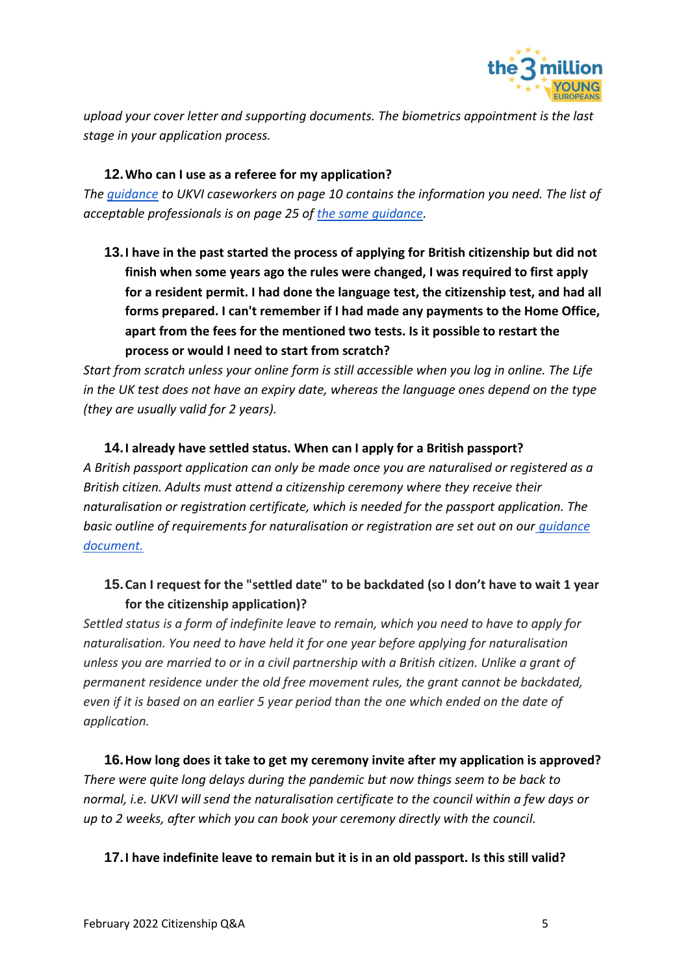

*upload your cover letter and supporting documents. The biometrics appointment is the last stage in your application process.*

#### **12.Who can I use as a referee for my application?**

*The [guidance](https://assets.publishing.service.gov.uk/government/uploads/system/uploads/attachment_data/file/963263/nationality-policy-general-information-all-british-nationals-v2.0ext.pdf) to UKVI caseworkers on page 10 contains the information you need. The list of acceptable professionals is on page 25 of [the same guidance.](https://assets.publishing.service.gov.uk/government/uploads/system/uploads/attachment_data/file/963263/nationality-policy-general-information-all-british-nationals-v2.0ext.pdf)* 

**13.I have in the past started the process of applying for British citizenship but did not finish when some years ago the rules were changed, I was required to first apply for a resident permit. I had done the language test, the citizenship test, and had all forms prepared. I can't remember if I had made any payments to the Home Office, apart from the fees for the mentioned two tests. Is it possible to restart the process or would I need to start from scratch?**

*Start from scratch unless your online form is still accessible when you log in online. The Life in the UK test does not have an expiry date, whereas the language ones depend on the type (they are usually valid for 2 years).*

#### **14.I already have settled status. When can I apply for a British passport?**

*A British passport application can only be made once you are naturalised or registered as a British citizen. Adults must attend a citizenship ceremony where they receive their naturalisation or registration certificate, which is needed for the passport application. The basic outline of requirements for naturalisation or registration are set out on our [guidance](http://t3m.org.uk/t3m_YE_KeyCitizenshipFacts)  [document.](http://t3m.org.uk/t3m_YE_KeyCitizenshipFacts)*

## **15.Can I request for the "settled date" to be backdated (so I don't have to wait 1 year for the citizenship application)?**

*Settled status is a form of indefinite leave to remain, which you need to have to apply for naturalisation. You need to have held it for one year before applying for naturalisation unless you are married to or in a civil partnership with a British citizen. Unlike a grant of permanent residence under the old free movement rules, the grant cannot be backdated, even if it is based on an earlier 5 year period than the one which ended on the date of application.*

**16.How long does it take to get my ceremony invite after my application is approved?** *There were quite long delays during the pandemic but now things seem to be back to normal, i.e. UKVI will send the naturalisation certificate to the council within a few days or up to 2 weeks, after which you can book your ceremony directly with the council.*

#### **17.I have indefinite leave to remain but it is in an old passport. Is this still valid?**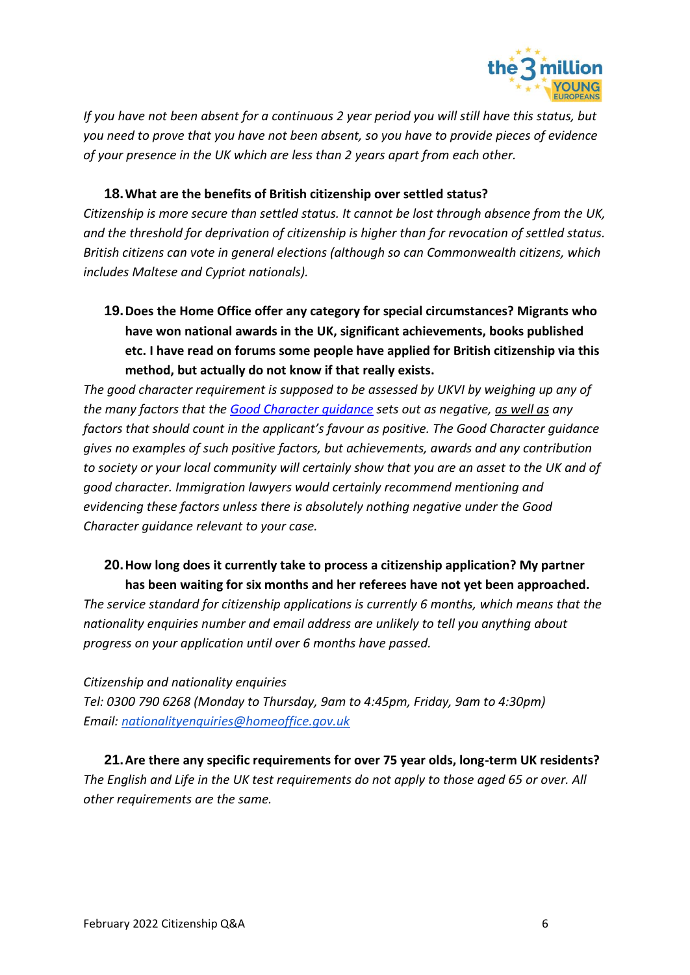

*If you have not been absent for a continuous 2 year period you will still have this status, but you need to prove that you have not been absent, so you have to provide pieces of evidence of your presence in the UK which are less than 2 years apart from each other.*

#### **18.What are the benefits of British citizenship over settled status?**

*Citizenship is more secure than settled status. It cannot be lost through absence from the UK, and the threshold for deprivation of citizenship is higher than for revocation of settled status. British citizens can vote in general elections (although so can Commonwealth citizens, which includes Maltese and Cypriot nationals).* 

**19.Does the Home Office offer any category for special circumstances? Migrants who have won national awards in the UK, significant achievements, books published etc. I have read on forums some people have applied for British citizenship via this method, but actually do not know if that really exists.** 

*The good character requirement is supposed to be assessed by UKVI by weighing up any of the many factors that the [Good Character guidance](https://www.gov.uk/government/publications/good-character-nationality-policy-guidance) sets out as negative, as well as any factors that should count in the applicant's favour as positive. The Good Character guidance gives no examples of such positive factors, but achievements, awards and any contribution to society or your local community will certainly show that you are an asset to the UK and of good character. Immigration lawyers would certainly recommend mentioning and evidencing these factors unless there is absolutely nothing negative under the Good Character guidance relevant to your case.* 

#### **20.How long does it currently take to process a citizenship application? My partner has been waiting for six months and her referees have not yet been approached.**

*The service standard for citizenship applications is currently 6 months, which means that the nationality enquiries number and email address are unlikely to tell you anything about progress on your application until over 6 months have passed.* 

*Citizenship and nationality enquiries* 

*Tel: 0300 790 6268 (Monday to Thursday, 9am to 4:45pm, Friday, 9am to 4:30pm) Email: [nationalityenquiries@homeoffice.gov.uk](mailto:nationalityenquiries@homeoffice.gov.uk)*

**21.Are there any specific requirements for over 75 year olds, long-term UK residents?** *The English and Life in the UK test requirements do not apply to those aged 65 or over. All other requirements are the same.*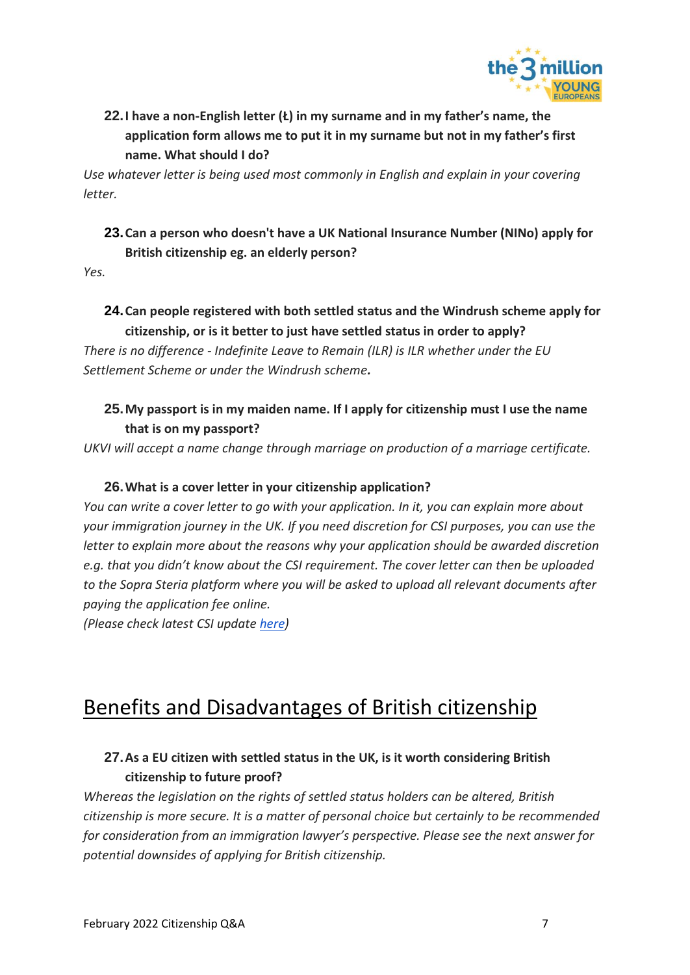

## **22.I have a non-English letter (Ł) in my surname and in my father's name, the application form allows me to put it in my surname but not in my father's first name. What should I do?**

*Use whatever letter is being used most commonly in English and explain in your covering letter.* 

## **23.Can a person who doesn't have a UK National Insurance Number (NINo) apply for British citizenship eg. an elderly person?**

*Yes.* 

## **24.Can people registered with both settled status and the Windrush scheme apply for citizenship, or is it better to just have settled status in order to apply?**

*There is no difference - Indefinite Leave to Remain (ILR) is ILR whether under the EU Settlement Scheme or under the Windrush scheme.* 

## **25.My passport is in my maiden name. If I apply for citizenship must I use the name that is on my passport?**

*UKVI will accept a name change through marriage on production of a marriage certificate.* 

### **26.What is a cover letter in your citizenship application?**

*You can write a cover letter to go with your application. In it, you can explain more about your immigration journey in the UK. If you need discretion for CSI purposes, you can use the letter to explain more about the reasons why your application should be awarded discretion e.g. that you didn't know about the CSI requirement. The cover letter can then be uploaded to the Sopra Steria platform where you will be asked to upload all relevant documents after paying the application fee online.*

*(Please check latest CSI update [here\)](https://www.the3million.org.uk/faq-1/csi)*

## <span id="page-6-0"></span>Benefits and Disadvantages of British citizenship

## **27.As a EU citizen with settled status in the UK, is it worth considering British citizenship to future proof?**

*Whereas the legislation on the rights of settled status holders can be altered, British citizenship is more secure. It is a matter of personal choice but certainly to be recommended for consideration from an immigration lawyer's perspective. Please see the next answer for potential downsides of applying for British citizenship.*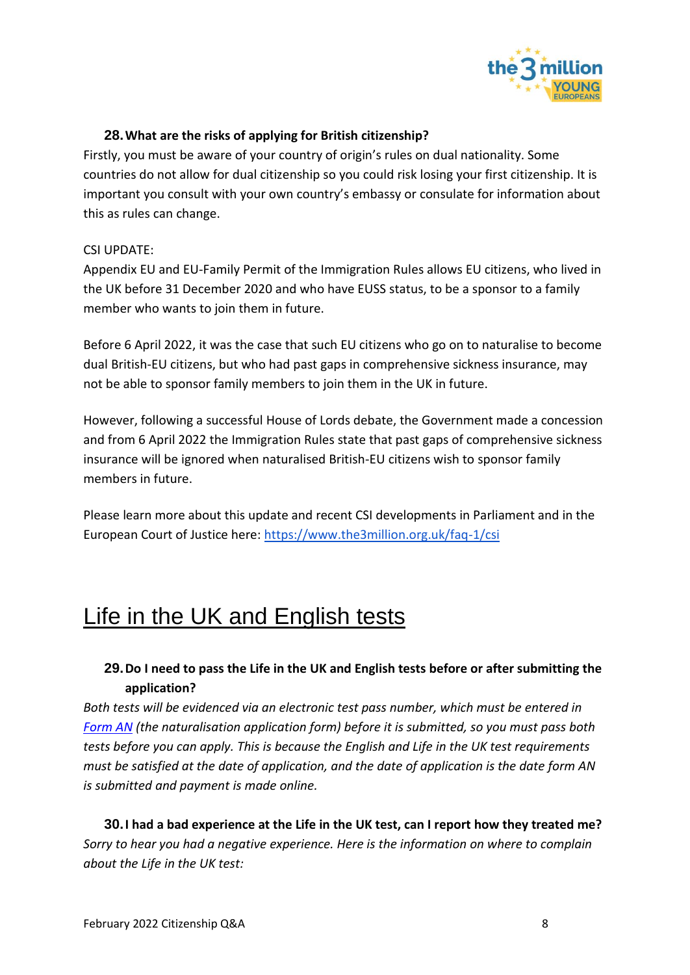

#### **28.What are the risks of applying for British citizenship?**

Firstly, you must be aware of your country of origin's rules on dual nationality. Some countries do not allow for dual citizenship so you could risk losing your first citizenship. It is important you consult with your own country's embassy or consulate for information about this as rules can change.

#### CSI UPDATE:

Appendix EU and EU-Family Permit of the Immigration Rules allows EU citizens, who lived in the UK before 31 December 2020 and who have EUSS status, to be a sponsor to a family member who wants to join them in future.

Before 6 April 2022, it was the case that such EU citizens who go on to naturalise to become dual British-EU citizens, but who had past gaps in comprehensive sickness insurance, may not be able to sponsor family members to join them in the UK in future.

However, following a successful House of Lords debate, the Government made a concession and from 6 April 2022 the Immigration Rules state that past gaps of comprehensive sickness insurance will be ignored when naturalised British-EU citizens wish to sponsor family members in future.

Please learn more about this update and recent CSI developments in Parliament and in the European Court of Justice here:<https://www.the3million.org.uk/faq-1/csi>

## <span id="page-7-0"></span>Life in the UK and English tests

## **29.Do I need to pass the Life in the UK and English tests before or after submitting the application?**

*Both tests will be evidenced via an electronic test pass number, which must be entered in [Form AN](https://visas-immigration.service.gov.uk/product/nationality-an?_ga=2.9109814.2065574243.1620068797-1380262293.1618327267&_gac=1.54443098.1616759546.Cj0KCQjwjPaCBhDkARIsAISZN7QOi8P2LNL6Q7QP8fK0zvSqv9RlIm1MrOfTQH7GAYhykuWmyBBX7wUaAtxREALw_wcB) (the naturalisation application form) before it is submitted, so you must pass both tests before you can apply. This is because the English and Life in the UK test requirements must be satisfied at the date of application, and the date of application is the date form AN is submitted and payment is made online.* 

**30.I had a bad experience at the Life in the UK test, can I report how they treated me?** *Sorry to hear you had a negative experience. Here is the information on where to complain about the Life in the UK test:*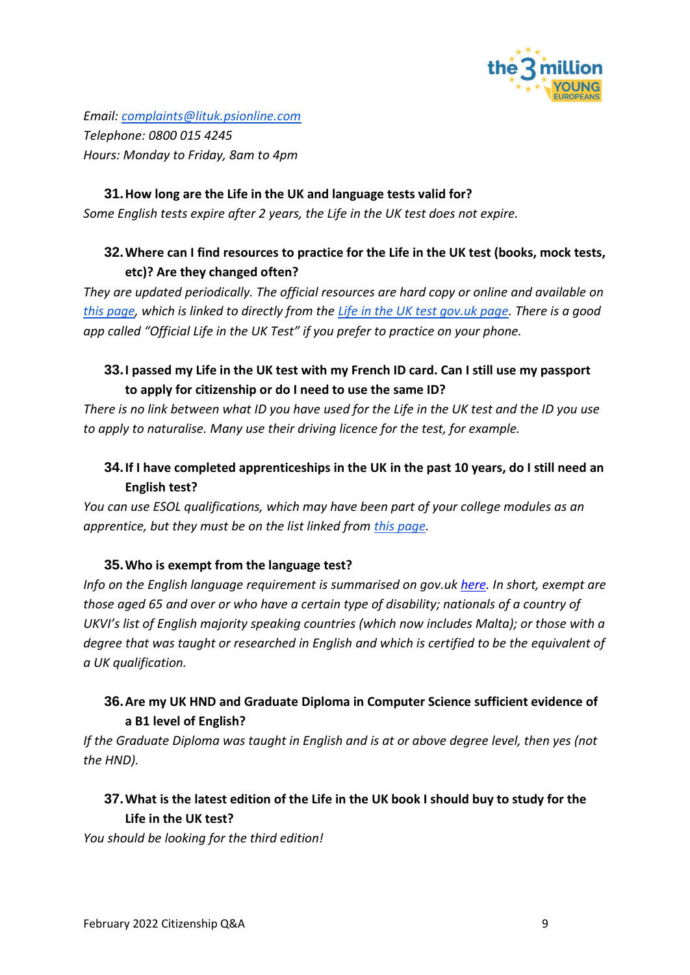

*Email: [complaints@lituk.psionline.com](mailto:complaints@lituk.psionline.com) Telephone: 0800 015 4245 Hours: Monday to Friday, 8am to 4pm*

#### **31.How long are the Life in the UK and language tests valid for?**

*Some English tests expire after 2 years, the Life in the UK test does not expire.*

## **32.Where can I find resources to practice for the Life in the UK test (books, mock tests, etc)? Are they changed often?**

*They are updated periodically. The official resources are hard copy or online and available on [this page,](https://www.officiallifeintheuk.co.uk/shop) which is linked to directly from the [Life in the UK test gov.uk page.](https://www.gov.uk/life-in-the-uk-test) There is a good app called "Official Life in the UK Test" if you prefer to practice on your phone.*

## **33.I passed my Life in the UK test with my French ID card. Can I still use my passport to apply for citizenship or do I need to use the same ID?**

*There is no link between what ID you have used for the Life in the UK test and the ID you use to apply to naturalise. Many use their driving licence for the test, for example.*

## **34.If I have completed apprenticeships in the UK in the past 10 years, do I still need an English test?**

*You can use ESOL qualifications, which may have been part of your college modules as an apprentice, but they must be on the list linked from [this page.](https://www.gov.uk/english-language/approved-english-language-qualifications)*

#### **35.Who is exempt from the language test?**

*Info on the English language requirement is summarised on gov.uk [here.](https://www.gov.uk/english-language/exemptions) In short, exempt are those aged 65 and over or who have a certain type of disability; nationals of a country of UKVI's list of English majority speaking countries (which now includes Malta); or those with a degree that was taught or researched in English and which is certified to be the equivalent of a UK qualification.* 

## **36.Are my UK HND and Graduate Diploma in Computer Science sufficient evidence of a B1 level of English?**

*If the Graduate Diploma was taught in English and is at or above degree level, then yes (not the HND).* 

### **37.What is the latest edition of the Life in the UK book I should buy to study for the Life in the UK test?**

*You should be looking for the third edition!*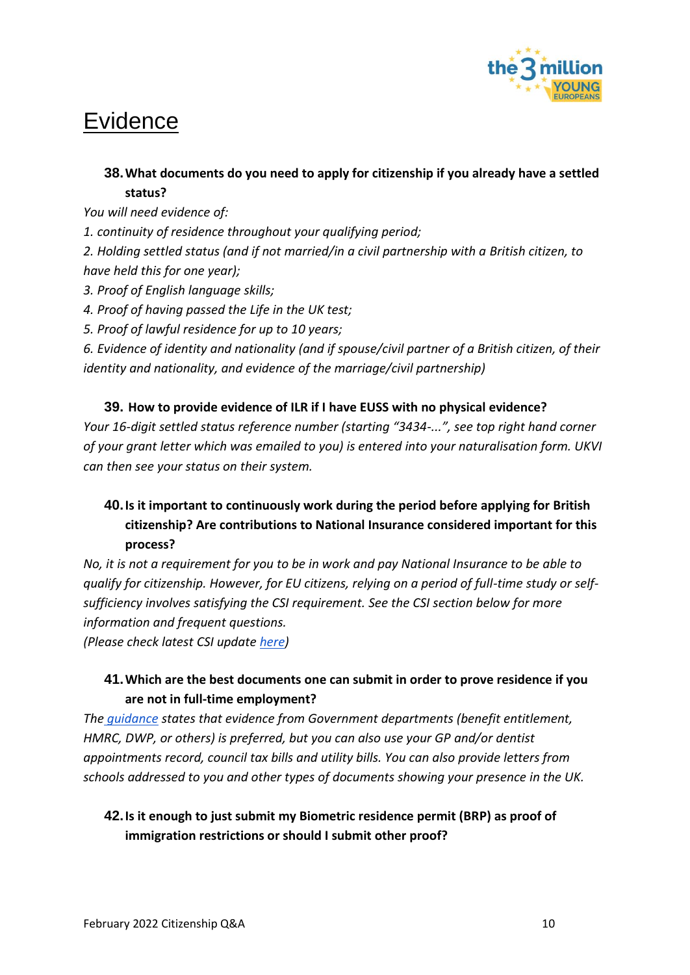

# <span id="page-9-0"></span>Evidence

## **38.What documents do you need to apply for citizenship if you already have a settled status?**

*You will need evidence of:*

*1. continuity of residence throughout your qualifying period;* 

*2. Holding settled status (and if not married/in a civil partnership with a British citizen, to have held this for one year);* 

- *3. Proof of English language skills;*
- *4. Proof of having passed the Life in the UK test;*
- *5. Proof of lawful residence for up to 10 years;*

*6. Evidence of identity and nationality (and if spouse/civil partner of a British citizen, of their identity and nationality, and evidence of the marriage/civil partnership)*

#### **39. How to provide evidence of ILR if I have EUSS with no physical evidence?**

*Your 16-digit settled status reference number (starting "3434-...", see top right hand corner of your grant letter which was emailed to you) is entered into your naturalisation form. UKVI can then see your status on their system.* 

## **40.Is it important to continuously work during the period before applying for British citizenship? Are contributions to National Insurance considered important for this process?**

*No, it is not a requirement for you to be in work and pay National Insurance to be able to qualify for citizenship. However, for EU citizens, relying on a period of full-time study or selfsufficiency involves satisfying the CSI requirement. See the CSI section below for more information and frequent questions.*

*(Please check latest CSI update [here\)](https://www.the3million.org.uk/faq-1/csi)*

## **41.Which are the best documents one can submit in order to prove residence if you are not in full-time employment?**

*The [guidance](https://assets.publishing.service.gov.uk/government/uploads/system/uploads/attachment_data/file/946855/naturalisation-as-a-british-citizen-by-discretion-v7.0ext.pdf) states that evidence from Government departments (benefit entitlement, HMRC, DWP, or others) is preferred, but you can also use your GP and/or dentist appointments record, council tax bills and utility bills. You can also provide letters from schools addressed to you and other types of documents showing your presence in the UK.*

## **42.Is it enough to just submit my Biometric residence permit (BRP) as proof of immigration restrictions or should I submit other proof?**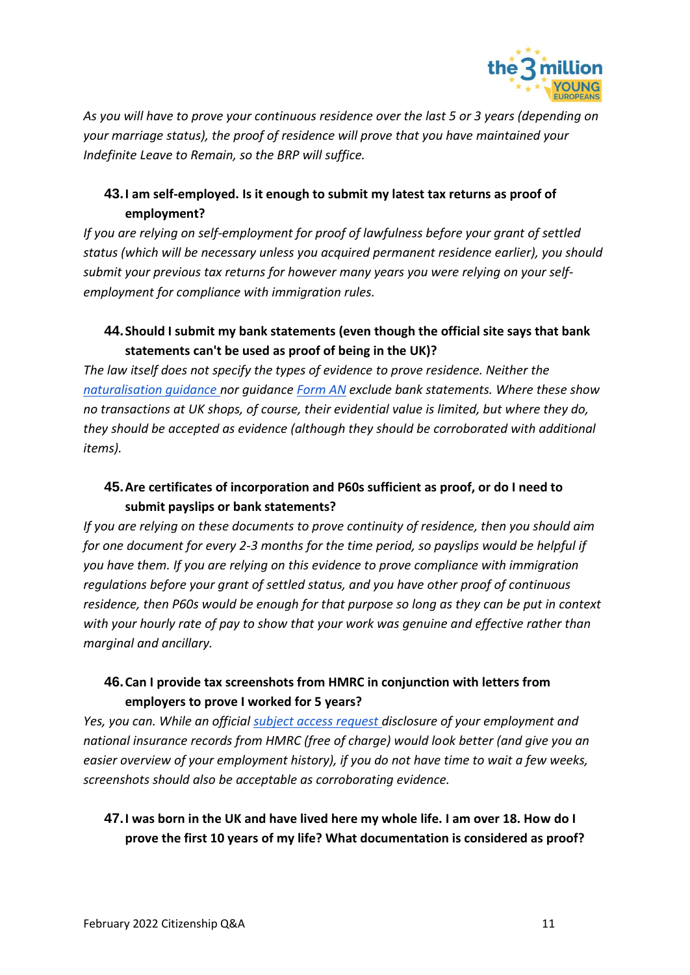

*As you will have to prove your continuous residence over the last 5 or 3 years (depending on your marriage status), the proof of residence will prove that you have maintained your Indefinite Leave to Remain, so the BRP will suffice.* 

## **43.I am self-employed. Is it enough to submit my latest tax returns as proof of employment?**

*If you are relying on self-employment for proof of lawfulness before your grant of settled status (which will be necessary unless you acquired permanent residence earlier), you should submit your previous tax returns for however many years you were relying on your selfemployment for compliance with immigration rules.* 

## **44.Should I submit my bank statements (even though the official site says that bank statements can't be used as proof of being in the UK)?**

*The law itself does not specify the types of evidence to prove residence. Neither the [naturalisation guidance n](https://assets.publishing.service.gov.uk/government/uploads/system/uploads/attachment_data/file/946855/naturalisation-as-a-british-citizen-by-discretion-v7.0ext.pdf)or guidance [Form AN](https://assets.publishing.service.gov.uk/government/uploads/system/uploads/attachment_data/file/976185/Guide_AN_Naturalisation_Booklet__The_Requirements__April_2021.pdf) exclude bank statements. Where these show no transactions at UK shops, of course, their evidential value is limited, but where they do, they should be accepted as evidence (although they should be corroborated with additional items).* 

## **45.Are certificates of incorporation and P60s sufficient as proof, or do I need to submit payslips or bank statements?**

*If you are relying on these documents to prove continuity of residence, then you should aim for one document for every 2-3 months for the time period, so payslips would be helpful if you have them. If you are relying on this evidence to prove compliance with immigration regulations before your grant of settled status, and you have other proof of continuous residence, then P60s would be enough for that purpose so long as they can be put in context with your hourly rate of pay to show that your work was genuine and effective rather than marginal and ancillary.* 

## **46.Can I provide tax screenshots from HMRC in conjunction with letters from employers to prove I worked for 5 years?**

*Yes, you can. While an official [subject access request d](https://www.gov.uk/guidance/hmrc-subject-access-request)isclosure of your employment and national insurance records from HMRC (free of charge) would look better (and give you an easier overview of your employment history), if you do not have time to wait a few weeks, screenshots should also be acceptable as corroborating evidence.* 

## **47.I was born in the UK and have lived here my whole life. I am over 18. How do I prove the first 10 years of my life? What documentation is considered as proof?**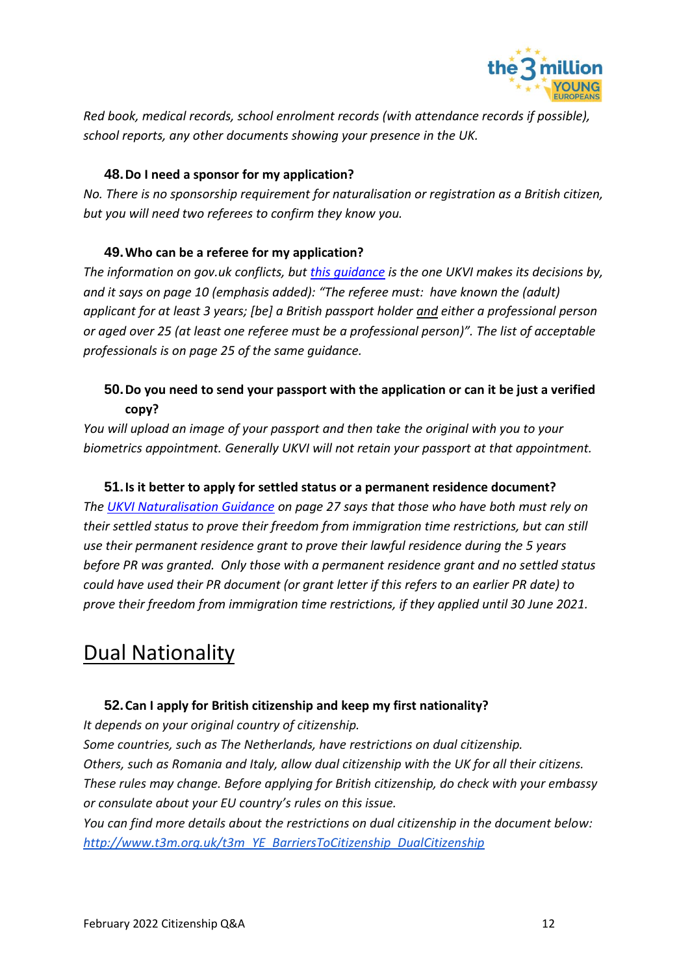

*Red book, medical records, school enrolment records (with attendance records if possible), school reports, any other documents showing your presence in the UK.*

#### **48.Do I need a sponsor for my application?**

*No. There is no sponsorship requirement for naturalisation or registration as a British citizen, but you will need two referees to confirm they know you.*

#### **49.Who can be a referee for my application?**

*The information on gov.uk conflicts, but [this guidance](https://assets.publishing.service.gov.uk/government/uploads/system/uploads/attachment_data/file/963263/nationality-policy-general-information-all-british-nationals-v2.0ext.pdf) is the one UKVI makes its decisions by, and it says on page 10 (emphasis added): "The referee must: have known the (adult) applicant for at least 3 years; [be] a British passport holder and either a professional person or aged over 25 (at least one referee must be a professional person)". The list of acceptable professionals is on page 25 of the same guidance.*

## **50.Do you need to send your passport with the application or can it be just a verified copy?**

*You will upload an image of your passport and then take the original with you to your biometrics appointment. Generally UKVI will not retain your passport at that appointment.* 

#### **51.Is it better to apply for settled status or a permanent residence document?**

*The [UKVI Naturalisation Guidance](https://assets.publishing.service.gov.uk/government/uploads/system/uploads/attachment_data/file/946855/naturalisation-as-a-british-citizen-by-discretion-v7.0ext.pdf) on page 27 says that those who have both must rely on their settled status to prove their freedom from immigration time restrictions, but can still use their permanent residence grant to prove their lawful residence during the 5 years before PR was granted. Only those with a permanent residence grant and no settled status could have used their PR document (or grant letter if this refers to an earlier PR date) to prove their freedom from immigration time restrictions, if they applied until 30 June 2021.*

## <span id="page-11-0"></span>**Dual Nationality**

### **52.Can I apply for British citizenship and keep my first nationality?**

*It depends on your original country of citizenship.* 

*Some countries, such as The Netherlands, have restrictions on dual citizenship. Others, such as Romania and Italy, allow dual citizenship with the UK for all their citizens. These rules may change. Before applying for British citizenship, do check with your embassy or consulate about your EU country's rules on this issue.*

*You can find more details about the restrictions on dual citizenship in the document bel[ow:](http://www.t3m.org.uk/t3m_YE_BarriersToCitizenship_DualCitizenship) [http://www.t3m.org.uk/t3m\\_YE\\_BarriersToCitizenship\\_DualCitizens](http://www.t3m.org.uk/t3m_YE_BarriersToCitizenship_DualCitizenship)hip*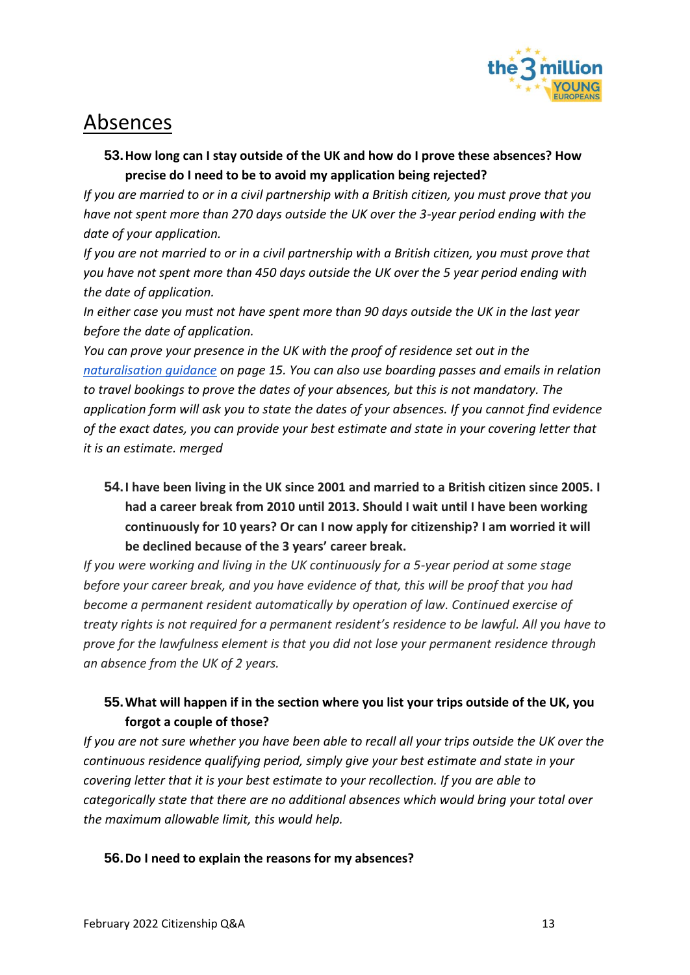

## <span id="page-12-0"></span>Absences

## **53.How long can I stay outside of the UK and how do I prove these absences? How precise do I need to be to avoid my application being rejected?**

*If you are married to or in a civil partnership with a British citizen, you must prove that you have not spent more than 270 days outside the UK over the 3-year period ending with the date of your application.* 

*If you are not married to or in a civil partnership with a British citizen, you must prove that you have not spent more than 450 days outside the UK over the 5 year period ending with the date of application.* 

*In either case you must not have spent more than 90 days outside the UK in the last year before the date of application.* 

*You can prove your presence in the UK with the proof of residence set out in the [naturalisation guidance](https://assets.publishing.service.gov.uk/government/uploads/system/uploads/attachment_data/file/946855/naturalisation-as-a-british-citizen-by-discretion-v7.0ext.pdf) on page 15. You can also use boarding passes and emails in relation to travel bookings to prove the dates of your absences, but this is not mandatory. The application form will ask you to state the dates of your absences. If you cannot find evidence of the exact dates, you can provide your best estimate and state in your covering letter that it is an estimate. merged*

**54.I have been living in the UK since 2001 and married to a British citizen since 2005. I had a career break from 2010 until 2013. Should I wait until I have been working continuously for 10 years? Or can I now apply for citizenship? I am worried it will be declined because of the 3 years' career break.** 

*If you were working and living in the UK continuously for a 5-year period at some stage before your career break, and you have evidence of that, this will be proof that you had become a permanent resident automatically by operation of law. Continued exercise of treaty rights is not required for a permanent resident's residence to be lawful. All you have to prove for the lawfulness element is that you did not lose your permanent residence through an absence from the UK of 2 years.* 

## **55.What will happen if in the section where you list your trips outside of the UK, you forgot a couple of those?**

*If you are not sure whether you have been able to recall all your trips outside the UK over the continuous residence qualifying period, simply give your best estimate and state in your covering letter that it is your best estimate to your recollection. If you are able to categorically state that there are no additional absences which would bring your total over the maximum allowable limit, this would help.* 

### **56.Do I need to explain the reasons for my absences?**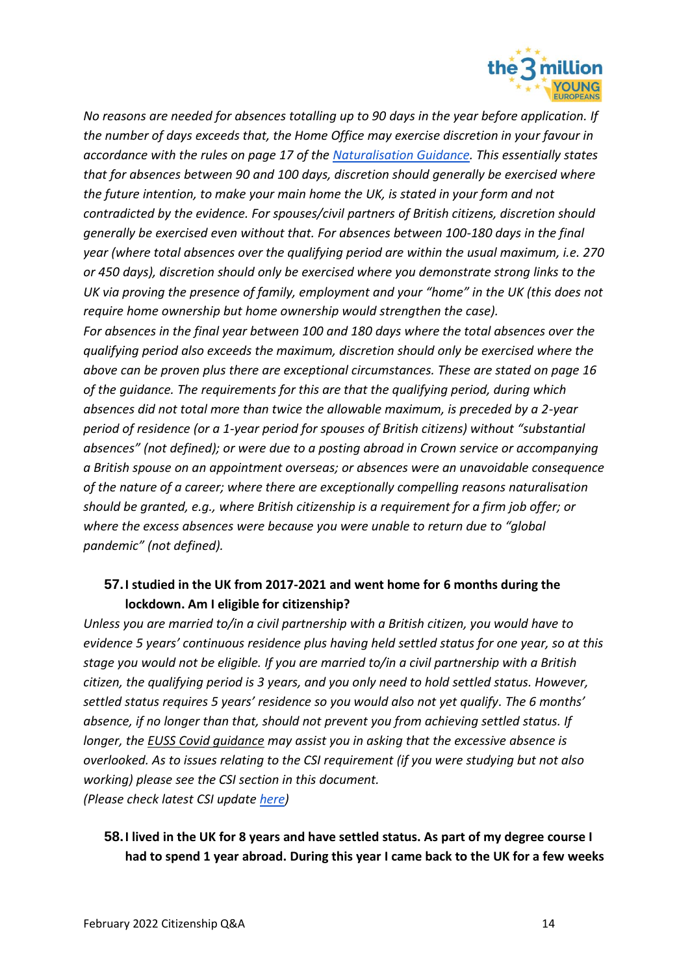

*No reasons are needed for absences totalling up to 90 days in the year before application. If the number of days exceeds that, the Home Office may exercise discretion in your favour in accordance with the rules on page 17 of the [Naturalisation Guidance.](https://assets.publishing.service.gov.uk/government/uploads/system/uploads/attachment_data/file/946855/naturalisation-as-a-british-citizen-by-discretion-v7.0ext.pdf) This essentially states that for absences between 90 and 100 days, discretion should generally be exercised where the future intention, to make your main home the UK, is stated in your form and not contradicted by the evidence. For spouses/civil partners of British citizens, discretion should generally be exercised even without that. For absences between 100-180 days in the final year (where total absences over the qualifying period are within the usual maximum, i.e. 270 or 450 days), discretion should only be exercised where you demonstrate strong links to the UK via proving the presence of family, employment and your "home" in the UK (this does not require home ownership but home ownership would strengthen the case). For absences in the final year between 100 and 180 days where the total absences over the* 

*qualifying period also exceeds the maximum, discretion should only be exercised where the above can be proven plus there are exceptional circumstances. These are stated on page 16 of the guidance. The requirements for this are that the qualifying period, during which absences did not total more than twice the allowable maximum, is preceded by a 2-year period of residence (or a 1-year period for spouses of British citizens) without "substantial absences" (not defined); or were due to a posting abroad in Crown service or accompanying a British spouse on an appointment overseas; or absences were an unavoidable consequence of the nature of a career; where there are exceptionally compelling reasons naturalisation should be granted, e.g., where British citizenship is a requirement for a firm job offer; or where the excess absences were because you were unable to return due to "global pandemic" (not defined).*

## **57.I studied in the UK from 2017-2021 and went home for 6 months during the lockdown. Am I eligible for citizenship?**

*Unless you are married to/in a civil partnership with a British citizen, you would have to evidence 5 years' continuous residence plus having held settled status for one year, so at this stage you would not be eligible. If you are married to/in a civil partnership with a British citizen, the qualifying period is 3 years, and you only need to hold settled status. However, settled status requires 5 years' residence so you would also not yet qualify. The 6 months' absence, if no longer than that, should not prevent you from achieving settled status. If longer, the [EUSS Covid guidance](https://www.gov.uk/guidance/coronavirus-covid-19-eu-settlement-scheme-guidance-for-applicants) may assist you in asking that the excessive absence is overlooked. As to issues relating to the CSI requirement (if you were studying but not also working) please see the CSI section in this document. (Please check latest CSI update [here\)](https://www.the3million.org.uk/faq-1/csi)*

## **58.I lived in the UK for 8 years and have settled status. As part of my degree course I had to spend 1 year abroad. During this year I came back to the UK for a few weeks**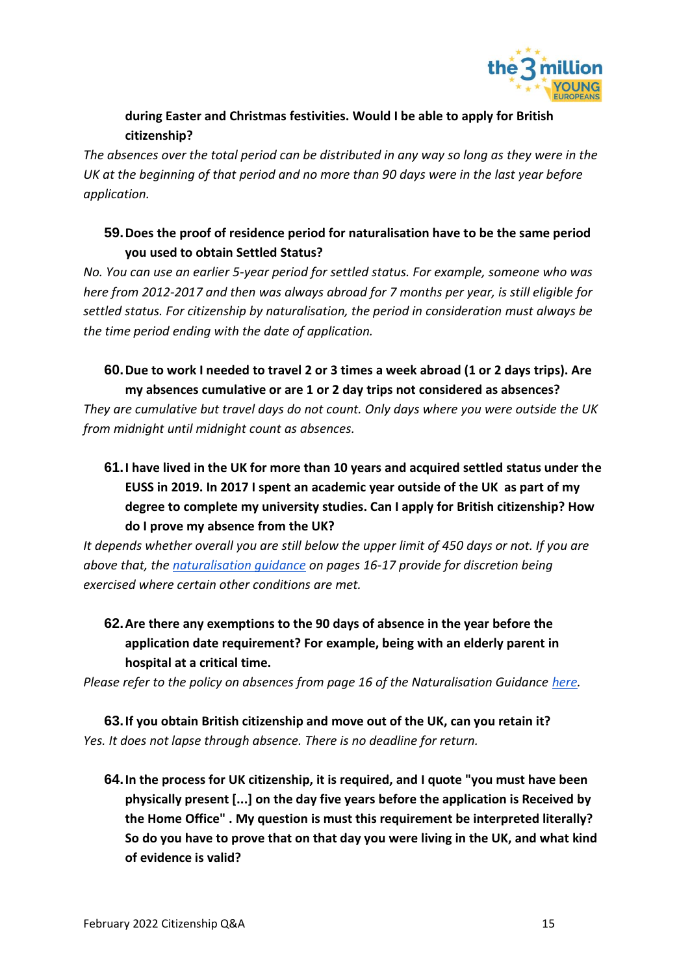

## **during Easter and Christmas festivities. Would I be able to apply for British citizenship?**

*The absences over the total period can be distributed in any way so long as they were in the UK at the beginning of that period and no more than 90 days were in the last year before application.*

## **59.Does the proof of residence period for naturalisation have to be the same period you used to obtain Settled Status?**

*No. You can use an earlier 5-year period for settled status. For example, someone who was here from 2012-2017 and then was always abroad for 7 months per year, is still eligible for settled status. For citizenship by naturalisation, the period in consideration must always be the time period ending with the date of application.* 

## **60.Due to work I needed to travel 2 or 3 times a week abroad (1 or 2 days trips). Are my absences cumulative or are 1 or 2 day trips not considered as absences?**

*They are cumulative but travel days do not count. Only days where you were outside the UK from midnight until midnight count as absences.*

**61.I have lived in the UK for more than 10 years and acquired settled status under the EUSS in 2019. In 2017 I spent an academic year outside of the UK as part of my degree to complete my university studies. Can I apply for British citizenship? How do I prove my absence from the UK?** 

*It depends whether overall you are still below the upper limit of 450 days or not. If you are above that, the [naturalisation guidance](https://www.gov.uk/government/publications/naturalisation-as-a-british-citizen-by-discretion-nationality-policy-guidance) on pages 16-17 provide for discretion being exercised where certain other conditions are met.* 

**62.Are there any exemptions to the 90 days of absence in the year before the application date requirement? For example, being with an elderly parent in hospital at a critical time.**

*Please refer to the policy on absences from page 16 of the Naturalisation Guidance [here.](https://assets.publishing.service.gov.uk/government/uploads/system/uploads/attachment_data/file/1032568/Naturalisation_as_British_citizen_by_disc)*

**63.If you obtain British citizenship and move out of the UK, can you retain it?** *Yes. It does not lapse through absence. There is no deadline for return.*

**64.In the process for UK citizenship, it is required, and I quote "you must have been physically present [...] on the day five years before the application is Received by the Home Office" . My question is must this requirement be interpreted literally? So do you have to prove that on that day you were living in the UK, and what kind of evidence is valid?**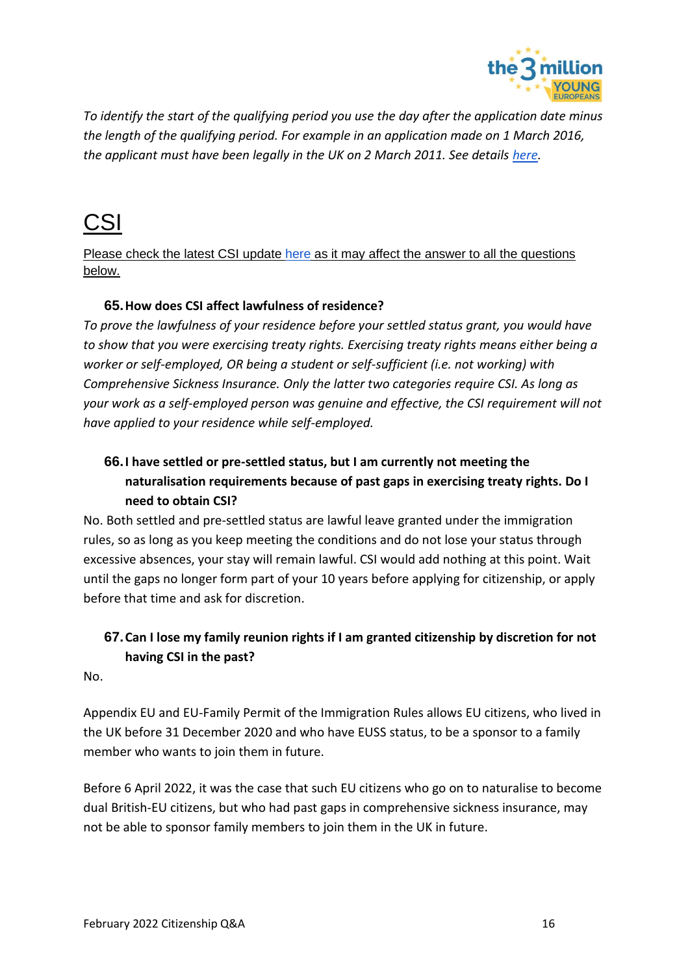

*To identify the start of the qualifying period you use the day after the application date minus the length of the qualifying period. For example in an application made on 1 March 2016, the applicant must have been legally in the UK on 2 March 2011. See details [here.](https://assets.publishing.service.gov.uk/government/uploads/system/uploads/attachment_data/file/1032568/Naturalisation_as_British_citizen_by_discretion.pdf)*

# <span id="page-15-0"></span>CSI

Please check the latest CSI update [here](https://www.the3million.org.uk/faq-1/csi) as it may affect the answer to all the questions below.

#### **65.How does CSI affect lawfulness of residence?**

*To prove the lawfulness of your residence before your settled status grant, you would have to show that you were exercising treaty rights. Exercising treaty rights means either being a worker or self-employed, OR being a student or self-sufficient (i.e. not working) with Comprehensive Sickness Insurance. Only the latter two categories require CSI. As long as your work as a self-employed person was genuine and effective, the CSI requirement will not have applied to your residence while self-employed.*

## **66.I have settled or pre-settled status, but I am currently not meeting the naturalisation requirements because of past gaps in exercising treaty rights. Do I need to obtain CSI?**

No. Both settled and pre-settled status are lawful leave granted under the immigration rules, so as long as you keep meeting the conditions and do not lose your status through excessive absences, your stay will remain lawful. CSI would add nothing at this point. Wait until the gaps no longer form part of your 10 years before applying for citizenship, or apply before that time and ask for discretion.

## **67.Can I lose my family reunion rights if I am granted citizenship by discretion for not having CSI in the past?**

No.

Appendix EU and EU-Family Permit of the Immigration Rules allows EU citizens, who lived in the UK before 31 December 2020 and who have EUSS status, to be a sponsor to a family member who wants to join them in future.

Before 6 April 2022, it was the case that such EU citizens who go on to naturalise to become dual British-EU citizens, but who had past gaps in comprehensive sickness insurance, may not be able to sponsor family members to join them in the UK in future.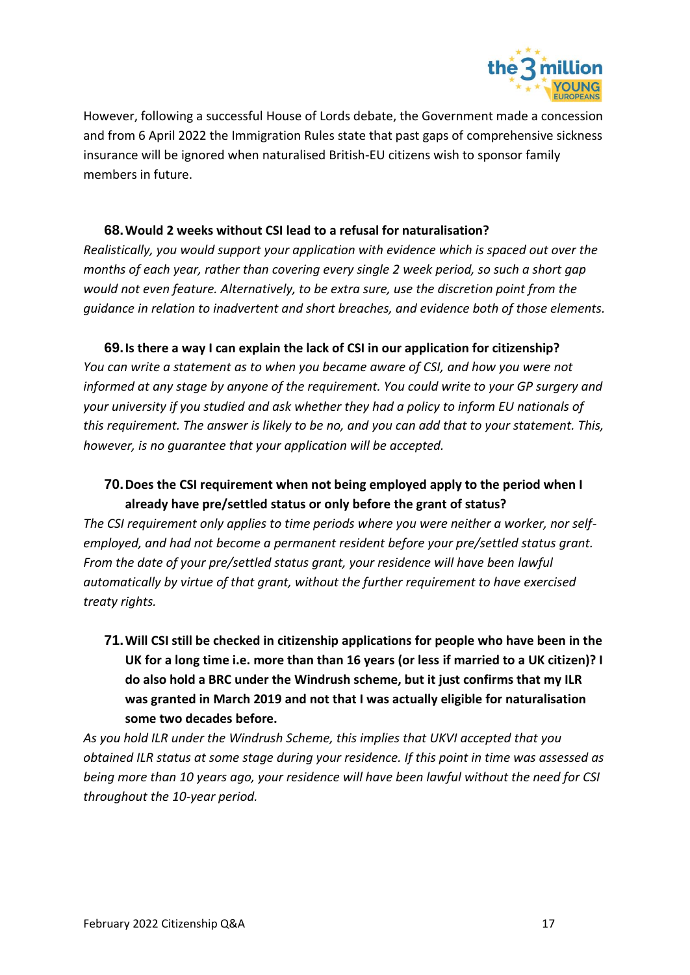

However, following a successful House of Lords debate, the Government made a concession and from 6 April 2022 the Immigration Rules state that past gaps of comprehensive sickness insurance will be ignored when naturalised British-EU citizens wish to sponsor family members in future.

#### **68.Would 2 weeks without CSI lead to a refusal for naturalisation?**

*Realistically, you would support your application with evidence which is spaced out over the months of each year, rather than covering every single 2 week period, so such a short gap would not even feature. Alternatively, to be extra sure, use the discretion point from the guidance in relation to inadvertent and short breaches, and evidence both of those elements.* 

#### **69.Is there a way I can explain the lack of CSI in our application for citizenship?**

*You can write a statement as to when you became aware of CSI, and how you were not informed at any stage by anyone of the requirement. You could write to your GP surgery and your university if you studied and ask whether they had a policy to inform EU nationals of this requirement. The answer is likely to be no, and you can add that to your statement. This, however, is no guarantee that your application will be accepted.* 

#### **70.Does the CSI requirement when not being employed apply to the period when I already have pre/settled status or only before the grant of status?**

*The CSI requirement only applies to time periods where you were neither a worker, nor selfemployed, and had not become a permanent resident before your pre/settled status grant. From the date of your pre/settled status grant, your residence will have been lawful automatically by virtue of that grant, without the further requirement to have exercised treaty rights.* 

**71.Will CSI still be checked in citizenship applications for people who have been in the UK for a long time i.e. more than than 16 years (or less if married to a UK citizen)? I do also hold a BRC under the Windrush scheme, but it just confirms that my ILR was granted in March 2019 and not that I was actually eligible for naturalisation some two decades before.**

*As you hold ILR under the Windrush Scheme, this implies that UKVI accepted that you obtained ILR status at some stage during your residence. If this point in time was assessed as being more than 10 years ago, your residence will have been lawful without the need for CSI throughout the 10-year period.*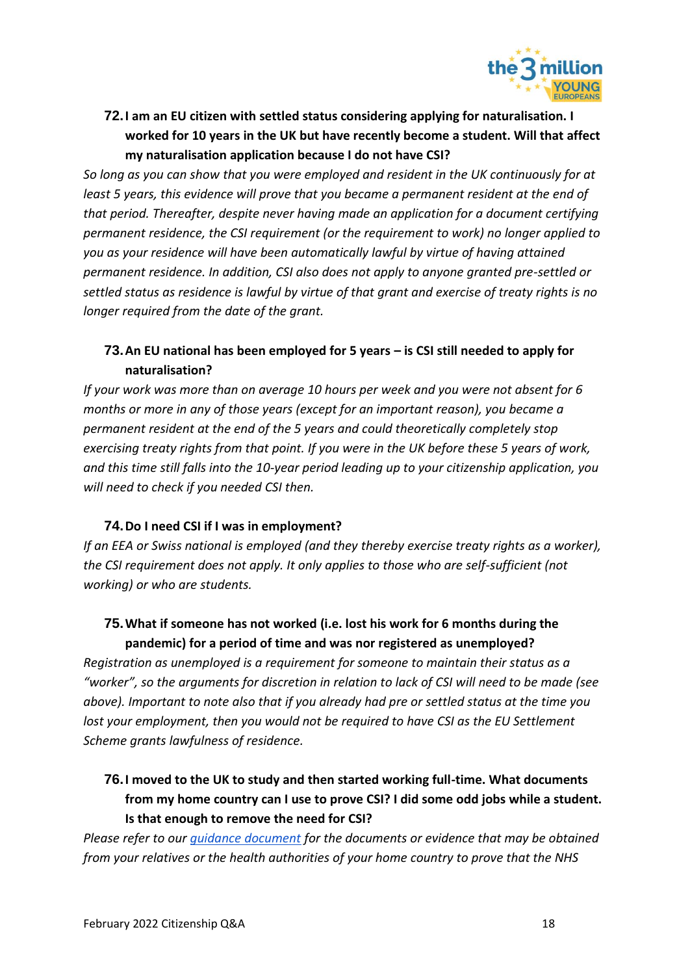

**72.I am an EU citizen with settled status considering applying for naturalisation. I worked for 10 years in the UK but have recently become a student. Will that affect my naturalisation application because I do not have CSI?**

*So long as you can show that you were employed and resident in the UK continuously for at least 5 years, this evidence will prove that you became a permanent resident at the end of that period. Thereafter, despite never having made an application for a document certifying permanent residence, the CSI requirement (or the requirement to work) no longer applied to you as your residence will have been automatically lawful by virtue of having attained permanent residence. In addition, CSI also does not apply to anyone granted pre-settled or settled status as residence is lawful by virtue of that grant and exercise of treaty rights is no longer required from the date of the grant.* 

## **73.An EU national has been employed for 5 years – is CSI still needed to apply for naturalisation?**

*If your work was more than on average 10 hours per week and you were not absent for 6 months or more in any of those years (except for an important reason), you became a permanent resident at the end of the 5 years and could theoretically completely stop exercising treaty rights from that point. If you were in the UK before these 5 years of work, and this time still falls into the 10-year period leading up to your citizenship application, you will need to check if you needed CSI then.* 

#### **74.Do I need CSI if I was in employment?**

*If an EEA or Swiss national is employed (and they thereby exercise treaty rights as a worker), the CSI requirement does not apply. It only applies to those who are self-sufficient (not working) or who are students.* 

### **75.What if someone has not worked (i.e. lost his work for 6 months during the pandemic) for a period of time and was nor registered as unemployed?**

*Registration as unemployed is a requirement for someone to maintain their status as a "worker", so the arguments for discretion in relation to lack of CSI will need to be made (see above). Important to note also that if you already had pre or settled status at the time you lost your employment, then you would not be required to have CSI as the EU Settlement Scheme grants lawfulness of residence.*

## **76.I moved to the UK to study and then started working full-time. What documents from my home country can I use to prove CSI? I did some odd jobs while a student. Is that enough to remove the need for CSI?**

*Please refer to our [guidance document](http://t3m.org.uk/t3m_YE_KeyCitizenshipFacts) for the documents or evidence that may be obtained from your relatives or the health authorities of your home country to prove that the NHS*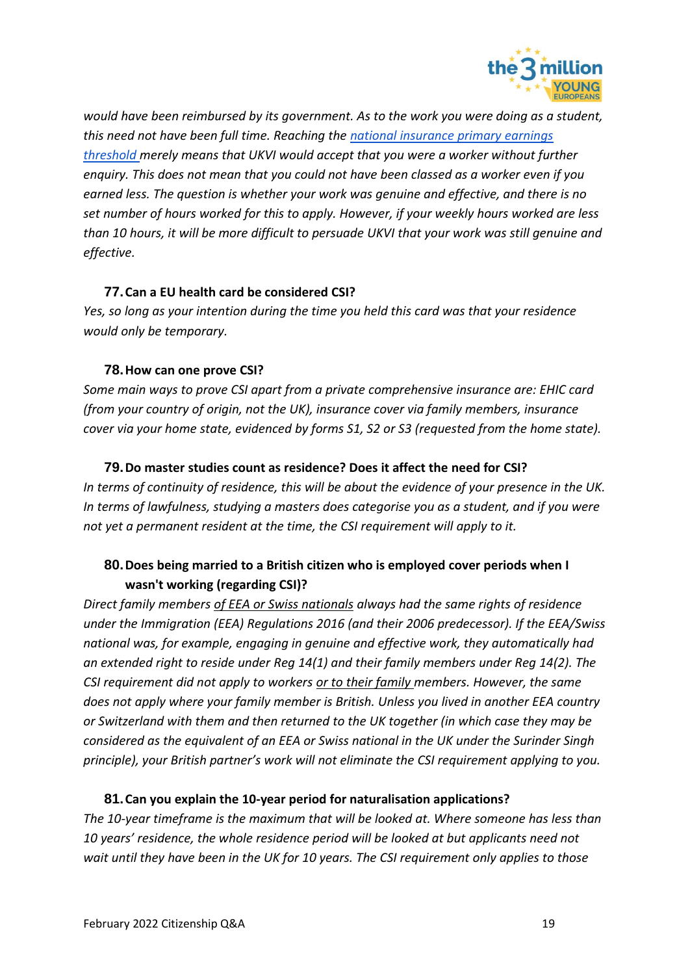

*would have been reimbursed by its government. As to the work you were doing as a student, this need not have been full time. Reaching the [national insurance primary earnings](https://www.gov.uk/government/publications/rates-and-allowances-national-insurance-contributions/rates-and-allowances-national-insurance-contributions)  [threshold m](https://www.gov.uk/government/publications/rates-and-allowances-national-insurance-contributions/rates-and-allowances-national-insurance-contributions)erely means that UKVI would accept that you were a worker without further enquiry. This does not mean that you could not have been classed as a worker even if you earned less. The question is whether your work was genuine and effective, and there is no set number of hours worked for this to apply. However, if your weekly hours worked are less than 10 hours, it will be more difficult to persuade UKVI that your work was still genuine and effective.* 

#### **77.Can a EU health card be considered CSI?**

*Yes, so long as your intention during the time you held this card was that your residence would only be temporary.* 

#### **78.How can one prove CSI?**

*Some main ways to prove CSI apart from a private comprehensive insurance are: EHIC card (from your country of origin, not the UK), insurance cover via family members, insurance cover via your home state, evidenced by forms S1, S2 or S3 (requested from the home state).* 

#### **79.Do master studies count as residence? Does it affect the need for CSI?**

*In terms of continuity of residence, this will be about the evidence of your presence in the UK. In terms of lawfulness, studying a masters does categorise you as a student, and if you were not yet a permanent resident at the time, the CSI requirement will apply to it.* 

## **80.Does being married to a British citizen who is employed cover periods when I wasn't working (regarding CSI)?**

*Direct family members of EEA or Swiss nationals always had the same rights of residence under the Immigration (EEA) Regulations 2016 (and their 2006 predecessor). If the EEA/Swiss national was, for example, engaging in genuine and effective work, they automatically had an extended right to reside under Reg 14(1) and their family members under Reg 14(2). The CSI requirement did not apply to workers or to their family members. However, the same does not apply where your family member is British. Unless you lived in another EEA country or Switzerland with them and then returned to the UK together (in which case they may be considered as the equivalent of an EEA or Swiss national in the UK under the Surinder Singh principle), your British partner's work will not eliminate the CSI requirement applying to you.*

#### **81.Can you explain the 10-year period for naturalisation applications?**

*The 10-year timeframe is the maximum that will be looked at. Where someone has less than 10 years' residence, the whole residence period will be looked at but applicants need not wait until they have been in the UK for 10 years. The CSI requirement only applies to those*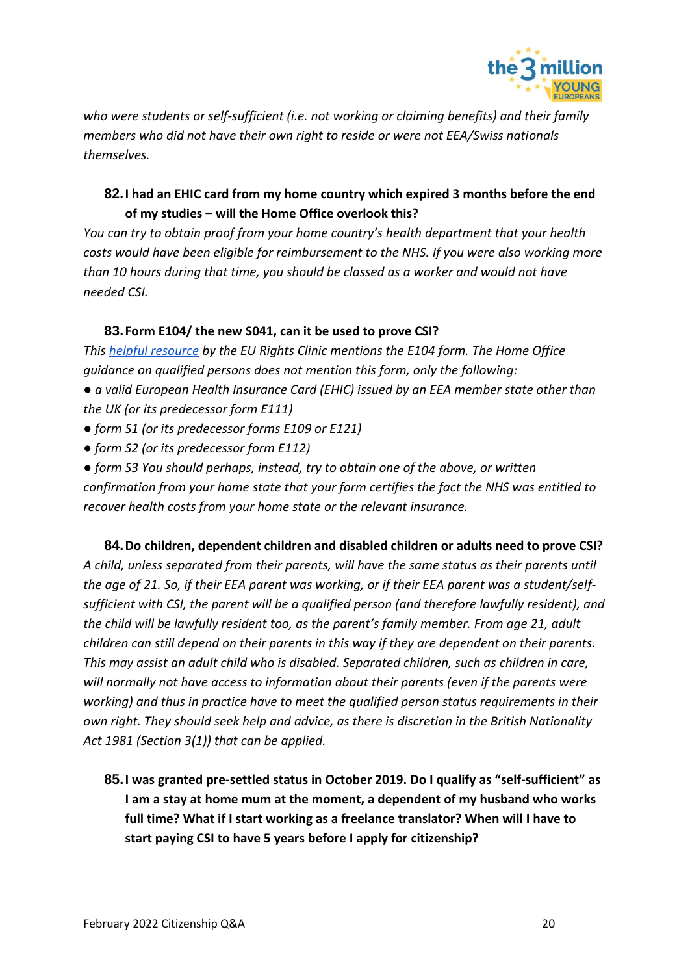

*who were students or self-sufficient (i.e. not working or claiming benefits) and their family members who did not have their own right to reside or were not EEA/Swiss nationals themselves.* 

## **82.I had an EHIC card from my home country which expired 3 months before the end of my studies – will the Home Office overlook this?**

*You can try to obtain proof from your home country's health department that your health costs would have been eligible for reimbursement to the NHS. If you were also working more than 10 hours during that time, you should be classed as a worker and would not have needed CSI.*

### **83.Form E104/ the new S041, can it be used to prove CSI?**

*This [helpful resource](https://blogs.kent.ac.uk/eu-rights-clinic/files/2018/03/Form-E104-and-Comprehensive-Sickness-Insurance-v1.pdf) by the EU Rights Clinic mentions the E104 form. The Home Office guidance on qualified persons does not mention this form, only the following:* 

*● a valid European Health Insurance Card (EHIC) issued by an EEA member state other than the UK (or its predecessor form E111)* 

- *form S1 (or its predecessor forms E109 or E121)*
- *form S2 (or its predecessor form E112)*

*● form S3 You should perhaps, instead, try to obtain one of the above, or written confirmation from your home state that your form certifies the fact the NHS was entitled to recover health costs from your home state or the relevant insurance.* 

**84.Do children, dependent children and disabled children or adults need to prove CSI?** *A child, unless separated from their parents, will have the same status as their parents until the age of 21. So, if their EEA parent was working, or if their EEA parent was a student/selfsufficient with CSI, the parent will be a qualified person (and therefore lawfully resident), and the child will be lawfully resident too, as the parent's family member. From age 21, adult children can still depend on their parents in this way if they are dependent on their parents. This may assist an adult child who is disabled. Separated children, such as children in care, will normally not have access to information about their parents (even if the parents were working) and thus in practice have to meet the qualified person status requirements in their own right. They should seek help and advice, as there is discretion in the British Nationality Act 1981 (Section 3(1)) that can be applied.*

**85.I was granted pre-settled status in October 2019. Do I qualify as "self-sufficient" as I am a stay at home mum at the moment, a dependent of my husband who works full time? What if I start working as a freelance translator? When will I have to start paying CSI to have 5 years before I apply for citizenship?**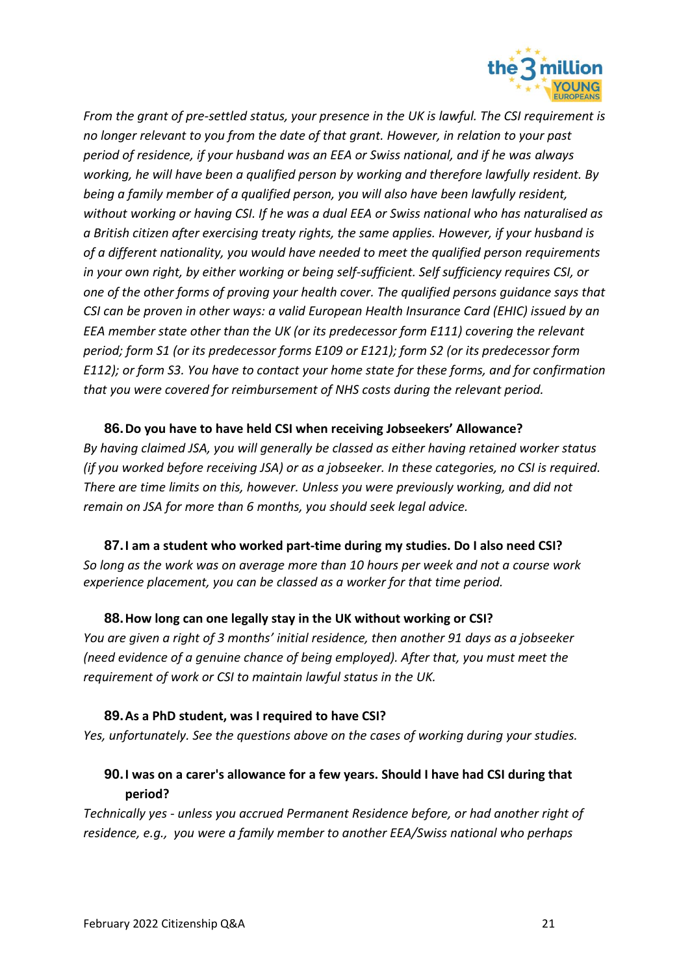

*From the grant of pre-settled status, your presence in the UK is lawful. The CSI requirement is no longer relevant to you from the date of that grant. However, in relation to your past period of residence, if your husband was an EEA or Swiss national, and if he was always working, he will have been a qualified person by working and therefore lawfully resident. By being a family member of a qualified person, you will also have been lawfully resident, without working or having CSI. If he was a dual EEA or Swiss national who has naturalised as a British citizen after exercising treaty rights, the same applies. However, if your husband is of a different nationality, you would have needed to meet the qualified person requirements in your own right, by either working or being self-sufficient. Self sufficiency requires CSI, or one of the other forms of proving your health cover. The qualified persons guidance says that CSI can be proven in other ways: a valid European Health Insurance Card (EHIC) issued by an EEA member state other than the UK (or its predecessor form E111) covering the relevant period; form S1 (or its predecessor forms E109 or E121); form S2 (or its predecessor form E112); or form S3. You have to contact your home state for these forms, and for confirmation that you were covered for reimbursement of NHS costs during the relevant period.*

## **86.Do you have to have held CSI when receiving Jobseekers' Allowance?** *By having claimed JSA, you will generally be classed as either having retained worker status (if you worked before receiving JSA) or as a jobseeker. In these categories, no CSI is required. There are time limits on this, however. Unless you were previously working, and did not remain on JSA for more than 6 months, you should seek legal advice.*

**87.I am a student who worked part-time during my studies. Do I also need CSI?** *So long as the work was on average more than 10 hours per week and not a course work experience placement, you can be classed as a worker for that time period.* 

#### **88.How long can one legally stay in the UK without working or CSI?**

*You are given a right of 3 months' initial residence, then another 91 days as a jobseeker (need evidence of a genuine chance of being employed). After that, you must meet the requirement of work or CSI to maintain lawful status in the UK.*

#### **89.As a PhD student, was I required to have CSI?**

*Yes, unfortunately. See the questions above on the cases of working during your studies.*

## **90.I was on a carer's allowance for a few years. Should I have had CSI during that period?**

*Technically yes - unless you accrued Permanent Residence before, or had another right of residence, e.g., you were a family member to another EEA/Swiss national who perhaps*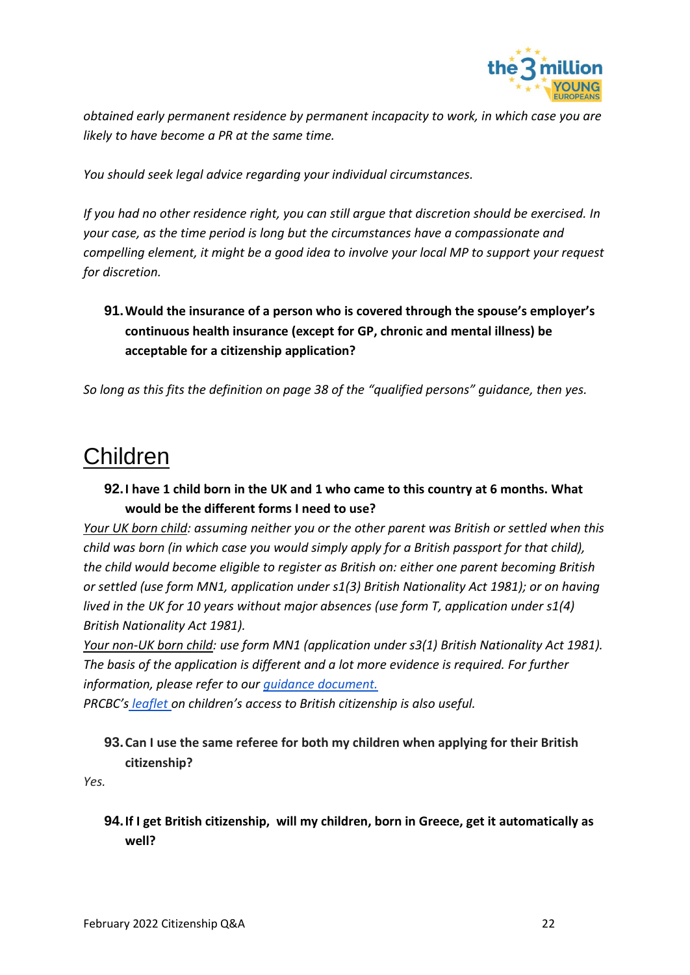

*obtained early permanent residence by permanent incapacity to work, in which case you are likely to have become a PR at the same time.*

*You should seek legal advice regarding your individual circumstances.* 

*If you had no other residence right, you can still argue that discretion should be exercised. In your case, as the time period is long but the circumstances have a compassionate and compelling element, it might be a good idea to involve your local MP to support your request for discretion.*

## **91.Would the insurance of a person who is covered through the spouse's employer's continuous health insurance (except for GP, chronic and mental illness) be acceptable for a citizenship application?**

*So long as this fits the definition on page 38 of the ["qualified persons" guidance](https://assets.publishing.service.gov.uk/government/uploads/system/uploads/attachment_data/file/929556/eea-qualified-persons-v8.0-gov-uk.pdf), then yes.*

# <span id="page-21-0"></span>Children

## **92.I have 1 child born in the UK and 1 who came to this country at 6 months. What would be the different forms I need to use?**

*Your UK born child: assuming neither you or the other parent was British or settled when this child was born (in which case you would simply apply for a British passport for that child), the child would become eligible to register as British on: either one parent becoming British or settled (use form MN1, application under s1(3) British Nationality Act 1981); or on having lived in the UK for 10 years without major absences (use form T, application under s1(4) British Nationality Act 1981).* 

*Your non-UK born child: use form MN1 (application under s3(1) British Nationality Act 1981). The basis of the application is different and a lot more evidence is required. For further information, please refer to our [guidance document.](http://t3m.org.uk/t3m_YE_KeyCitizenshipFacts)*

*PRCBC's [leaflet](https://prcbc.files.wordpress.com/2019/03/children-and-their-rights-to-british-citizenship-march-2019.pdf) on children's access to British citizenship is also useful.*

## **93.Can I use the same referee for both my children when applying for their British citizenship?**

*Yes.*

### **94.If I get British citizenship, will my children, born in Greece, get it automatically as well?**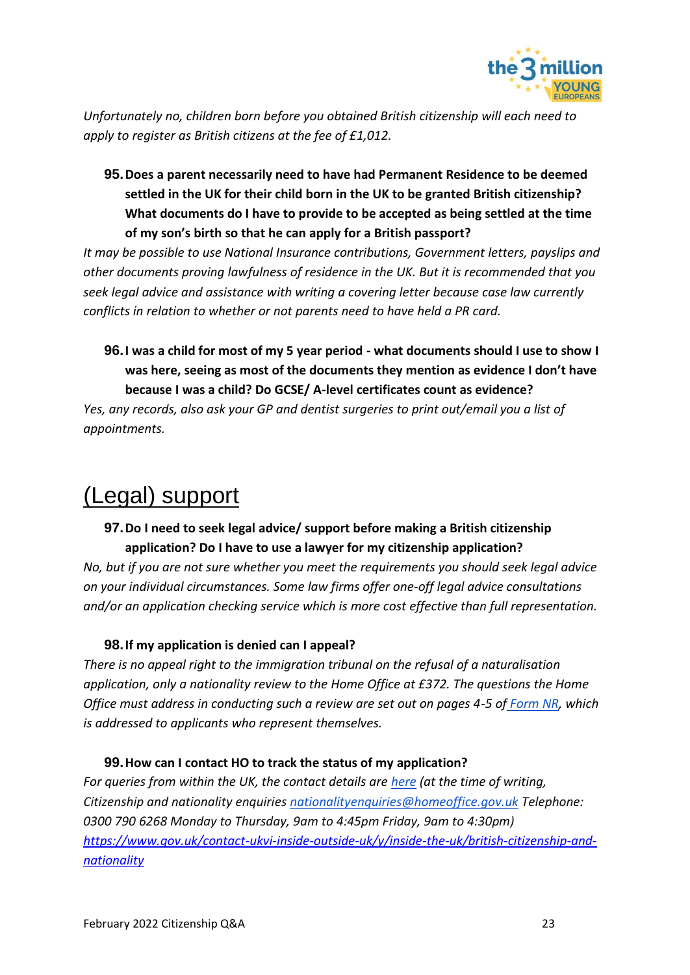

*Unfortunately no, children born before you obtained British citizenship will each need to apply to register as British citizens at the fee of £1,012.* 

**95.Does a parent necessarily need to have had Permanent Residence to be deemed settled in the UK for their child born in the UK to be granted British citizenship? What documents do I have to provide to be accepted as being settled at the time of my son's birth so that he can apply for a British passport?**

*It may be possible to use National Insurance contributions, Government letters, payslips and other documents proving lawfulness of residence in the UK. But it is recommended that you seek legal advice and assistance with writing a covering letter because case law currently conflicts in relation to whether or not parents need to have held a PR card.* 

**96.I was a child for most of my 5 year period - what documents should I use to show I was here, seeing as most of the documents they mention as evidence I don't have because I was a child? Do GCSE/ A-level certificates count as evidence?**

*Yes, any records, also ask your GP and dentist surgeries to print out/email you a list of appointments.* 

# <span id="page-22-0"></span>(Legal) support

## **97.Do I need to seek legal advice/ support before making a British citizenship application? Do I have to use a lawyer for my citizenship application?**

*No, but if you are not sure whether you meet the requirements you should seek legal advice on your individual circumstances. Some law firms offer one-off legal advice consultations and/or an application checking service which is more cost effective than full representation.* 

### **98.If my application is denied can I appeal?**

*There is no appeal right to the immigration tribunal on the refusal of a naturalisation application, only a nationality review to the Home Office at £372. The questions the Home Office must address in conducting such a review are set out on pages 4-5 of [Form NR,](https://assets.publishing.service.gov.uk/government/uploads/system/uploads/attachment_data/file/757956/form-NR-10-18.pdf) which is addressed to applicants who represent themselves.*

### **99.How can I contact HO to track the status of my application?**

*For queries from within the UK, the contact details are [here](https://www.gov.uk/contact-ukvi-inside-outside-uk/y/inside-the-uk/british-citizenship-and-nationality) (at the time of writing, Citizenship and nationality enquiries [nationalityenquiries@homeoffice.gov.uk](mailto:nationalityenquiries@homeoffice.gov.uk) Telephone: 0300 790 6268 Monday to Thursday, 9am to 4:45pm Friday, 9am to 4:30pm) [https://www.gov.uk/contact-ukvi-inside-outside-uk/y/inside-the-uk/british-citizenship-and](https://www.gov.uk/contact-ukvi-inside-outside-uk/y/inside-the-uk/british-citizenship-and-nationality)[nationality](https://www.gov.uk/contact-ukvi-inside-outside-uk/y/inside-the-uk/british-citizenship-and-nationality)*